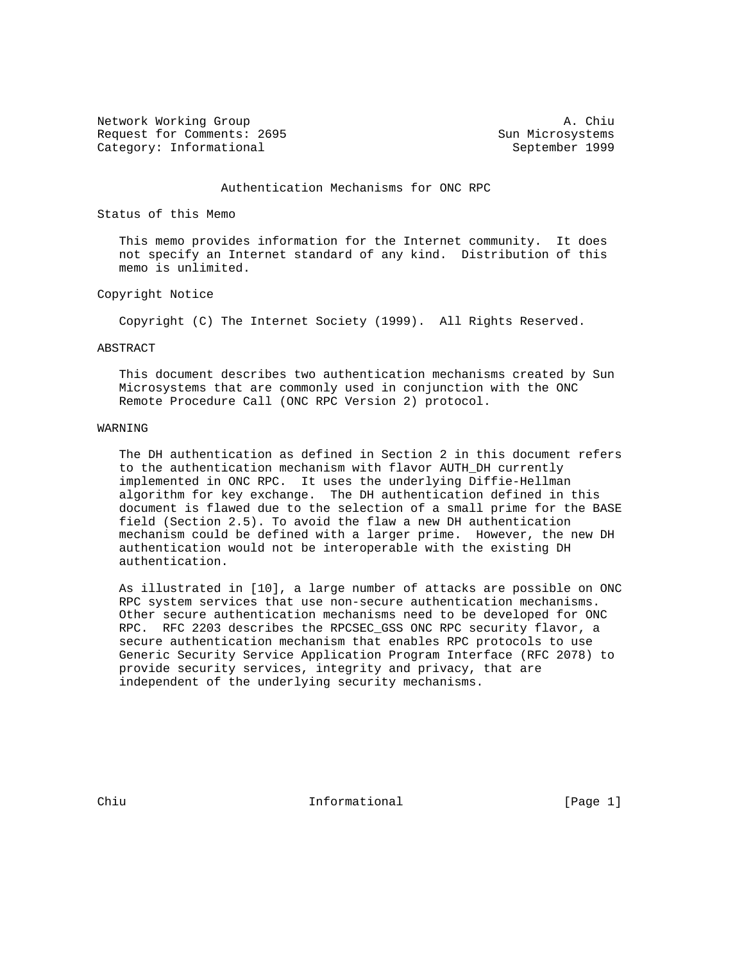Network Working Group and A. Chiu Request for Comments: 2695 Sun Microsystems Category: Informational September 1999

### Authentication Mechanisms for ONC RPC

Status of this Memo

 This memo provides information for the Internet community. It does not specify an Internet standard of any kind. Distribution of this memo is unlimited.

### Copyright Notice

Copyright (C) The Internet Society (1999). All Rights Reserved.

#### ABSTRACT

 This document describes two authentication mechanisms created by Sun Microsystems that are commonly used in conjunction with the ONC Remote Procedure Call (ONC RPC Version 2) protocol.

### WARNING

 The DH authentication as defined in Section 2 in this document refers to the authentication mechanism with flavor AUTH\_DH currently implemented in ONC RPC. It uses the underlying Diffie-Hellman algorithm for key exchange. The DH authentication defined in this document is flawed due to the selection of a small prime for the BASE field (Section 2.5). To avoid the flaw a new DH authentication mechanism could be defined with a larger prime. However, the new DH authentication would not be interoperable with the existing DH authentication.

 As illustrated in [10], a large number of attacks are possible on ONC RPC system services that use non-secure authentication mechanisms. Other secure authentication mechanisms need to be developed for ONC RPC. RFC 2203 describes the RPCSEC\_GSS ONC RPC security flavor, a secure authentication mechanism that enables RPC protocols to use Generic Security Service Application Program Interface (RFC 2078) to provide security services, integrity and privacy, that are independent of the underlying security mechanisms.

Chiu **Informational** Informational [Page 1]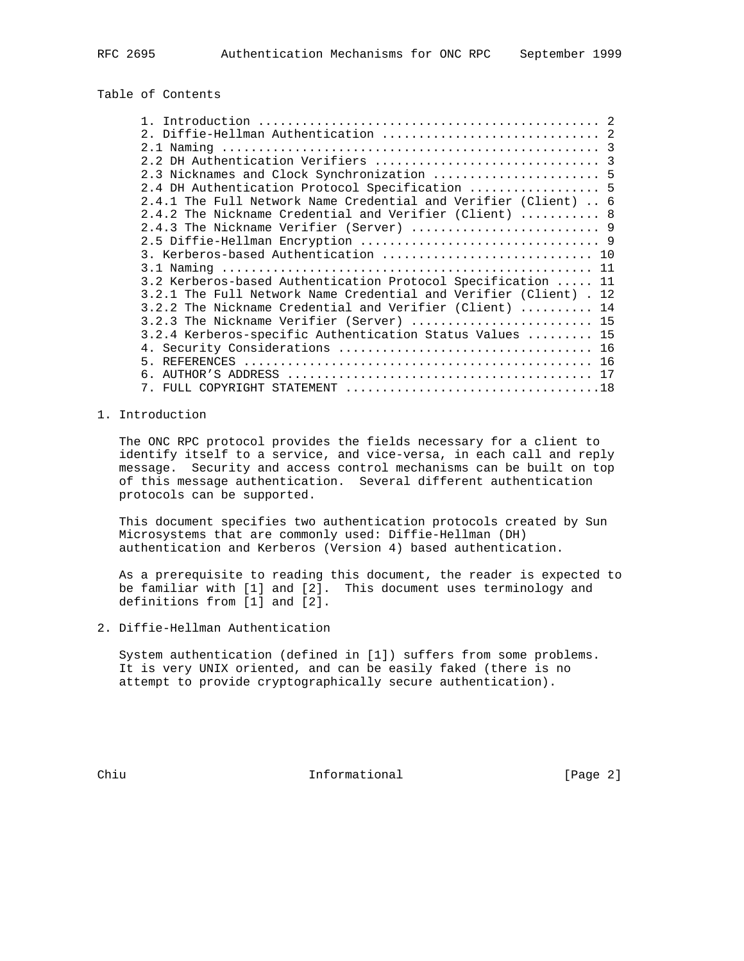# Table of Contents

| 2.3 Nicknames and Clock Synchronization  5                        |  |
|-------------------------------------------------------------------|--|
| 2.4 DH Authentication Protocol Specification  5                   |  |
| 2.4.1 The Full Network Name Credential and Verifier (Client)  6   |  |
| 2.4.2 The Nickname Credential and Verifier (Client)  8            |  |
|                                                                   |  |
|                                                                   |  |
| 3. Kerberos-based Authentication  10                              |  |
|                                                                   |  |
| 3.2 Kerberos-based Authentication Protocol Specification  11      |  |
| 3.2.1 The Full Network Name Credential and Verifier (Client) . 12 |  |
| 3.2.2 The Nickname Credential and Verifier (Client)  14           |  |
| 3.2.3 The Nickname Verifier (Server)  15                          |  |
| 3.2.4 Kerberos-specific Authentication Status Values  15          |  |
|                                                                   |  |
|                                                                   |  |
|                                                                   |  |
|                                                                   |  |

## 1. Introduction

 The ONC RPC protocol provides the fields necessary for a client to identify itself to a service, and vice-versa, in each call and reply message. Security and access control mechanisms can be built on top of this message authentication. Several different authentication protocols can be supported.

 This document specifies two authentication protocols created by Sun Microsystems that are commonly used: Diffie-Hellman (DH) authentication and Kerberos (Version 4) based authentication.

 As a prerequisite to reading this document, the reader is expected to be familiar with [1] and [2]. This document uses terminology and definitions from [1] and [2].

2. Diffie-Hellman Authentication

 System authentication (defined in [1]) suffers from some problems. It is very UNIX oriented, and can be easily faked (there is no attempt to provide cryptographically secure authentication).

Chiu Informational [Page 2]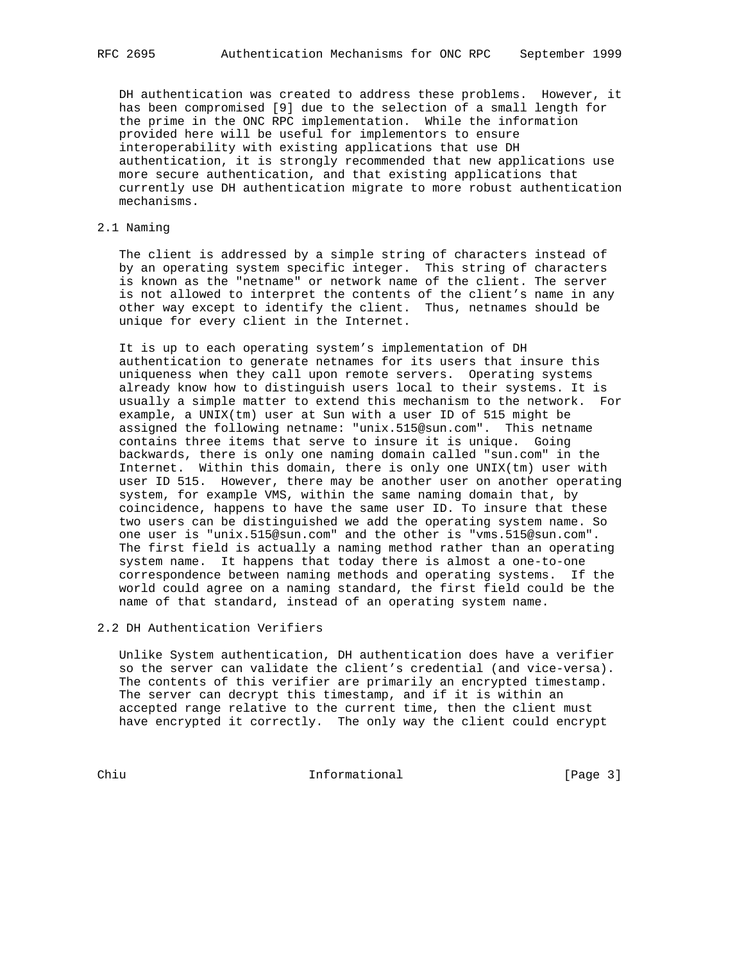DH authentication was created to address these problems. However, it has been compromised [9] due to the selection of a small length for the prime in the ONC RPC implementation. While the information provided here will be useful for implementors to ensure interoperability with existing applications that use DH authentication, it is strongly recommended that new applications use more secure authentication, and that existing applications that currently use DH authentication migrate to more robust authentication mechanisms.

### 2.1 Naming

 The client is addressed by a simple string of characters instead of by an operating system specific integer. This string of characters is known as the "netname" or network name of the client. The server is not allowed to interpret the contents of the client's name in any other way except to identify the client. Thus, netnames should be unique for every client in the Internet.

 It is up to each operating system's implementation of DH authentication to generate netnames for its users that insure this uniqueness when they call upon remote servers. Operating systems already know how to distinguish users local to their systems. It is usually a simple matter to extend this mechanism to the network. For example, a UNIX(tm) user at Sun with a user ID of 515 might be assigned the following netname: "unix.515@sun.com". This netname contains three items that serve to insure it is unique. Going backwards, there is only one naming domain called "sun.com" in the Internet. Within this domain, there is only one UNIX(tm) user with user ID 515. However, there may be another user on another operating system, for example VMS, within the same naming domain that, by coincidence, happens to have the same user ID. To insure that these two users can be distinguished we add the operating system name. So one user is "unix.515@sun.com" and the other is "vms.515@sun.com". The first field is actually a naming method rather than an operating system name. It happens that today there is almost a one-to-one correspondence between naming methods and operating systems. If the world could agree on a naming standard, the first field could be the name of that standard, instead of an operating system name.

2.2 DH Authentication Verifiers

 Unlike System authentication, DH authentication does have a verifier so the server can validate the client's credential (and vice-versa). The contents of this verifier are primarily an encrypted timestamp. The server can decrypt this timestamp, and if it is within an accepted range relative to the current time, then the client must have encrypted it correctly. The only way the client could encrypt

Chiu Informational [Page 3]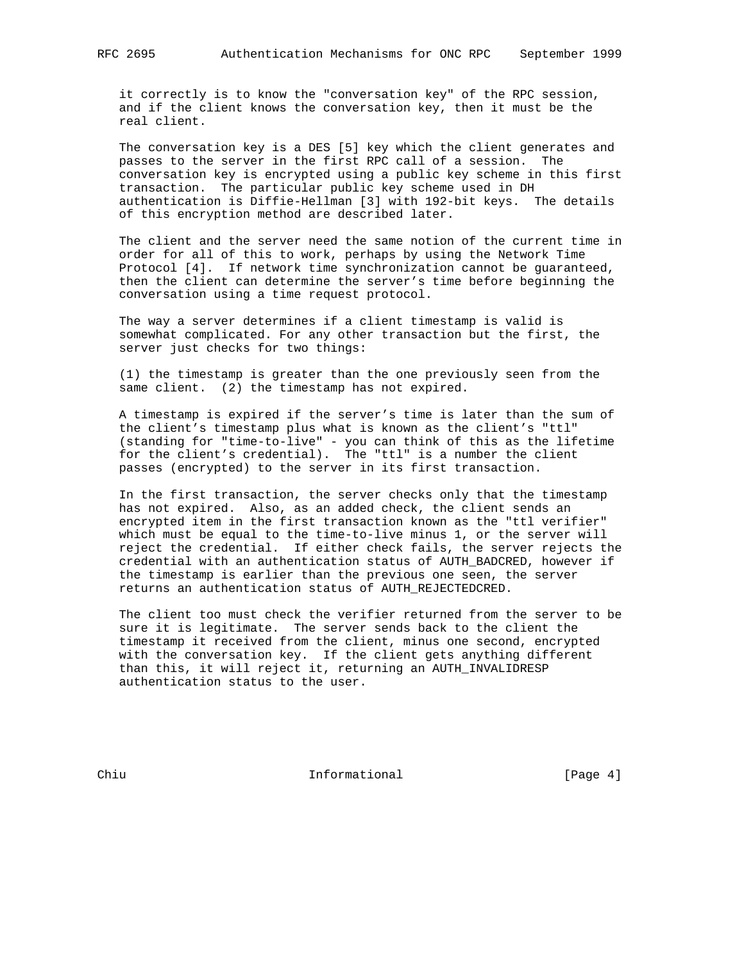it correctly is to know the "conversation key" of the RPC session, and if the client knows the conversation key, then it must be the real client.

 The conversation key is a DES [5] key which the client generates and passes to the server in the first RPC call of a session. The conversation key is encrypted using a public key scheme in this first transaction. The particular public key scheme used in DH authentication is Diffie-Hellman [3] with 192-bit keys. The details of this encryption method are described later.

 The client and the server need the same notion of the current time in order for all of this to work, perhaps by using the Network Time Protocol [4]. If network time synchronization cannot be guaranteed, then the client can determine the server's time before beginning the conversation using a time request protocol.

 The way a server determines if a client timestamp is valid is somewhat complicated. For any other transaction but the first, the server just checks for two things:

 (1) the timestamp is greater than the one previously seen from the same client. (2) the timestamp has not expired.

 A timestamp is expired if the server's time is later than the sum of the client's timestamp plus what is known as the client's "ttl" (standing for "time-to-live" - you can think of this as the lifetime for the client's credential). The "ttl" is a number the client passes (encrypted) to the server in its first transaction.

 In the first transaction, the server checks only that the timestamp has not expired. Also, as an added check, the client sends an encrypted item in the first transaction known as the "ttl verifier" which must be equal to the time-to-live minus 1, or the server will reject the credential. If either check fails, the server rejects the credential with an authentication status of AUTH\_BADCRED, however if the timestamp is earlier than the previous one seen, the server returns an authentication status of AUTH\_REJECTEDCRED.

 The client too must check the verifier returned from the server to be sure it is legitimate. The server sends back to the client the timestamp it received from the client, minus one second, encrypted with the conversation key. If the client gets anything different than this, it will reject it, returning an AUTH\_INVALIDRESP authentication status to the user.

Chiu **Informational** Informational [Page 4]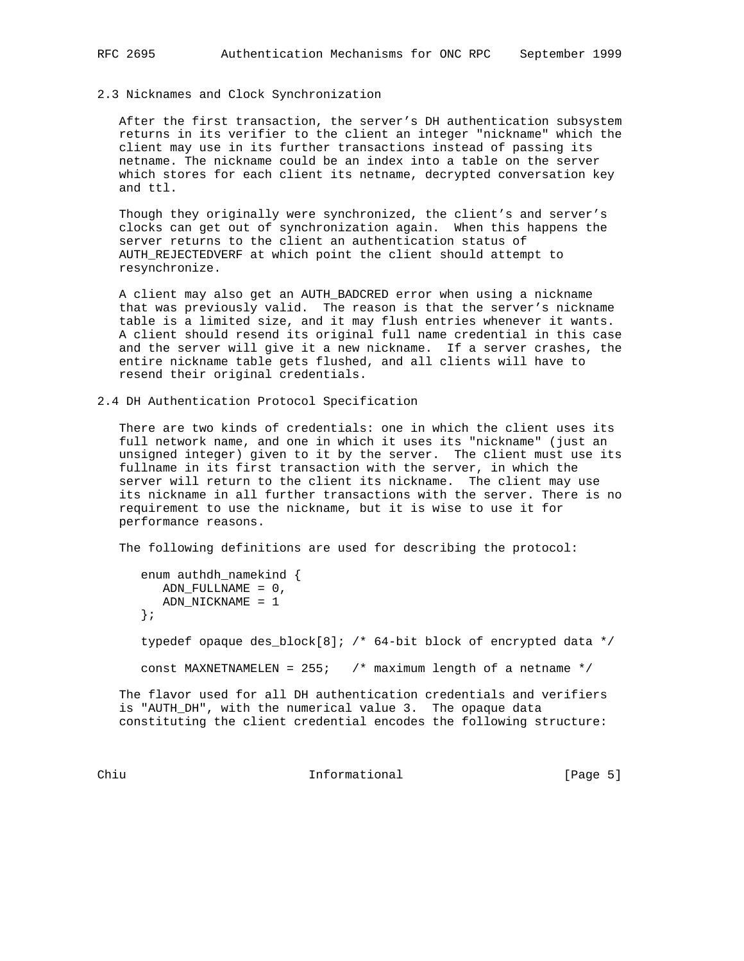#### 2.3 Nicknames and Clock Synchronization

 After the first transaction, the server's DH authentication subsystem returns in its verifier to the client an integer "nickname" which the client may use in its further transactions instead of passing its netname. The nickname could be an index into a table on the server which stores for each client its netname, decrypted conversation key and ttl.

 Though they originally were synchronized, the client's and server's clocks can get out of synchronization again. When this happens the server returns to the client an authentication status of AUTH\_REJECTEDVERF at which point the client should attempt to resynchronize.

 A client may also get an AUTH\_BADCRED error when using a nickname that was previously valid. The reason is that the server's nickname table is a limited size, and it may flush entries whenever it wants. A client should resend its original full name credential in this case and the server will give it a new nickname. If a server crashes, the entire nickname table gets flushed, and all clients will have to resend their original credentials.

2.4 DH Authentication Protocol Specification

 There are two kinds of credentials: one in which the client uses its full network name, and one in which it uses its "nickname" (just an unsigned integer) given to it by the server. The client must use its fullname in its first transaction with the server, in which the server will return to the client its nickname. The client may use its nickname in all further transactions with the server. There is no requirement to use the nickname, but it is wise to use it for performance reasons.

The following definitions are used for describing the protocol:

 enum authdh\_namekind { ADN\_FULLNAME = 0, ADN\_NICKNAME = 1 }; typedef opaque des\_block[8]; /\* 64-bit block of encrypted data \*/ const MAXNETNAMELEN = 255; /\* maximum length of a netname \*/

 The flavor used for all DH authentication credentials and verifiers is "AUTH\_DH", with the numerical value 3. The opaque data constituting the client credential encodes the following structure:

Chiu **Informational** Informational [Page 5]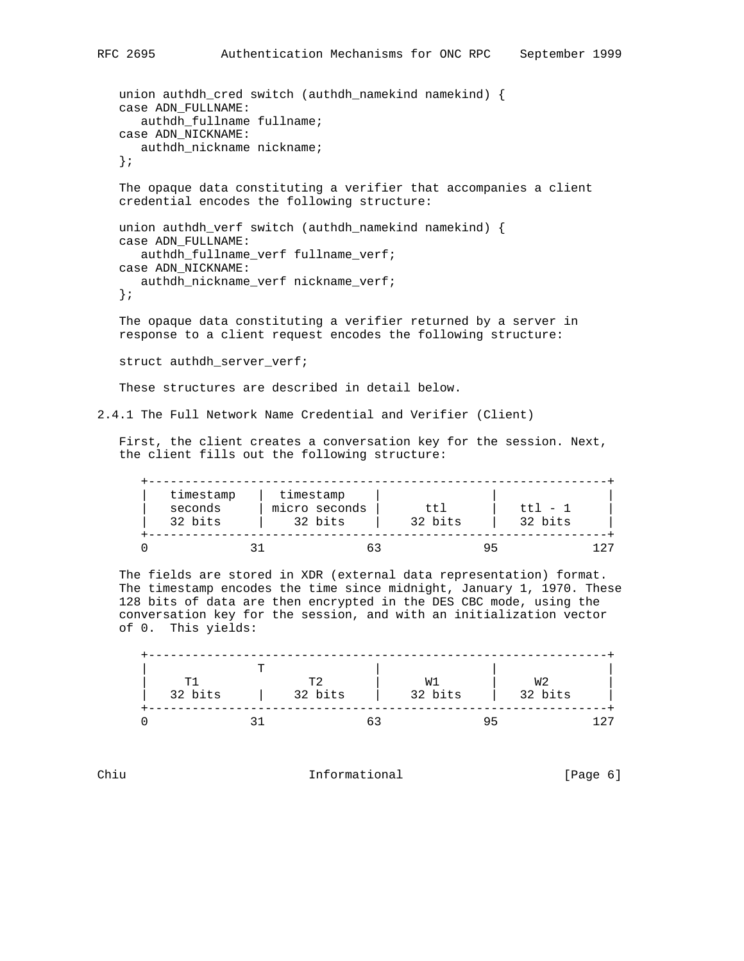```
union authdh_cred switch (authdh_namekind namekind) {
 case ADN_FULLNAME:
    authdh_fullname fullname;
 case ADN_NICKNAME:
    authdh_nickname nickname;
 };
 The opaque data constituting a verifier that accompanies a client
 credential encodes the following structure:
 union authdh_verf switch (authdh_namekind namekind) {
 case ADN_FULLNAME:
    authdh_fullname_verf fullname_verf;
 case ADN_NICKNAME:
    authdh_nickname_verf nickname_verf;
 };
 The opaque data constituting a verifier returned by a server in
 response to a client request encodes the following structure:
 struct authdh_server_verf;
```
These structures are described in detail below.

2.4.1 The Full Network Name Credential and Verifier (Client)

 First, the client creates a conversation key for the session. Next, the client fills out the following structure:

| timestamp<br>seconds<br>32 bits | timestamp<br>micro seconds<br>32 bits | ttl<br>32 bits | $tt1 - 1$<br>32 bits |     |
|---------------------------------|---------------------------------------|----------------|----------------------|-----|
|                                 |                                       |                | 95                   | דרו |

 The fields are stored in XDR (external data representation) format. The timestamp encodes the time since midnight, January 1, 1970. These 128 bits of data are then encrypted in the DES CBC mode, using the conversation key for the session, and with an initialization vector of 0. This yields:

|                | m |         |         |         |       |
|----------------|---|---------|---------|---------|-------|
| T <sup>1</sup> |   | ጥ2      | W1      | W2      |       |
| 32 bits        |   | 32 bits | 32 bits | 32 bits |       |
|                |   |         |         | 9 5     | 1 2 7 |

Chiu **Informational** Informational [Page 6]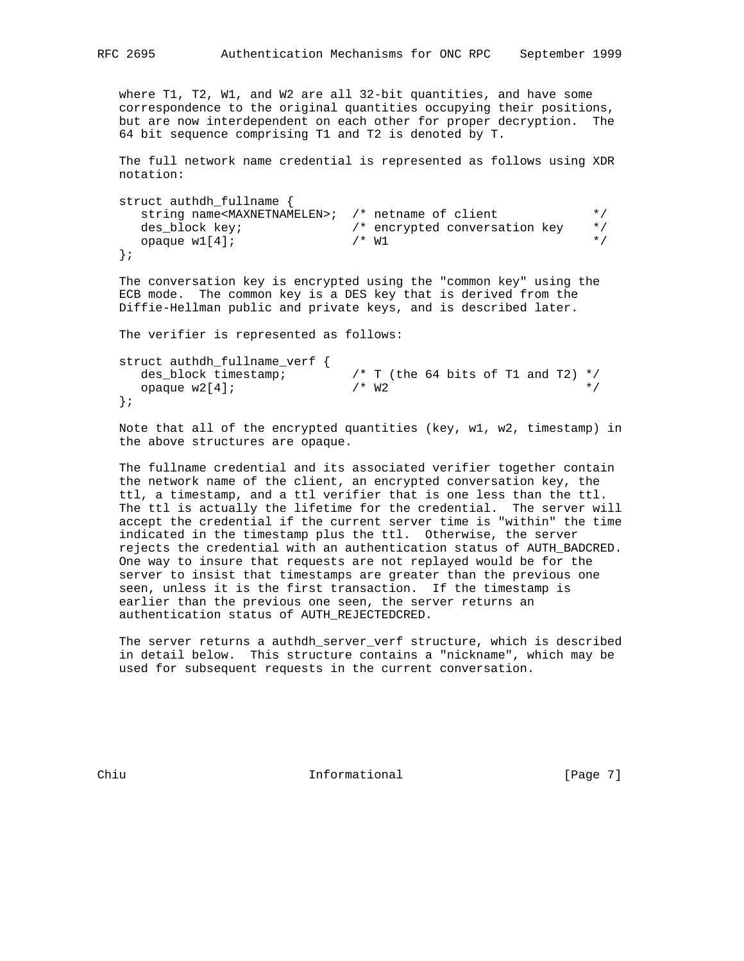where T1, T2, W1, and W2 are all 32-bit quantities, and have some correspondence to the original quantities occupying their positions, but are now interdependent on each other for proper decryption. The 64 bit sequence comprising T1 and T2 is denoted by T.

 The full network name credential is represented as follows using XDR notation:

```
 struct authdh_fullname {
     string name<MAXNETNAMELEN>; /* netname of client */
 des_block key; /* encrypted conversation key */
opaque w1[4]; \qquad \qquad \qquad \qquad \wedge^* W1 \qquad \qquad \qquad \qquad \qquad \wedge^* };
```
 The conversation key is encrypted using the "common key" using the ECB mode. The common key is a DES key that is derived from the Diffie-Hellman public and private keys, and is described later.

The verifier is represented as follows:

```
 struct authdh_fullname_verf {
                            \frac{\pi}{1} (the 64 bits of T1 and T2) */<br>\frac{\pi}{1} */
  opaque w2[4]; /* W2 */*
 };
```
 Note that all of the encrypted quantities (key, w1, w2, timestamp) in the above structures are opaque.

 The fullname credential and its associated verifier together contain the network name of the client, an encrypted conversation key, the ttl, a timestamp, and a ttl verifier that is one less than the ttl. The ttl is actually the lifetime for the credential. The server will accept the credential if the current server time is "within" the time indicated in the timestamp plus the ttl. Otherwise, the server rejects the credential with an authentication status of AUTH\_BADCRED. One way to insure that requests are not replayed would be for the server to insist that timestamps are greater than the previous one seen, unless it is the first transaction. If the timestamp is earlier than the previous one seen, the server returns an authentication status of AUTH\_REJECTEDCRED.

 The server returns a authdh\_server\_verf structure, which is described in detail below. This structure contains a "nickname", which may be used for subsequent requests in the current conversation.

Chiu **Informational** Informational [Page 7]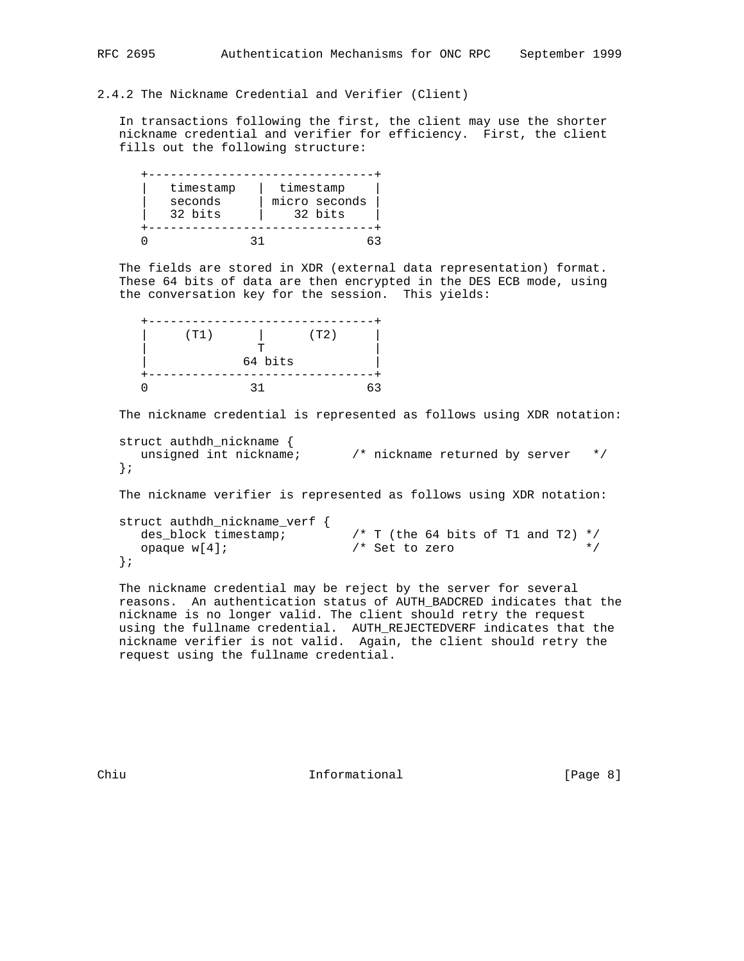# 2.4.2 The Nickname Credential and Verifier (Client)

 In transactions following the first, the client may use the shorter nickname credential and verifier for efficiency. First, the client fills out the following structure:

| timestamp          |  | timestamp                |  |
|--------------------|--|--------------------------|--|
| seconds<br>32 bits |  | micro seconds<br>32 bits |  |
|                    |  |                          |  |
|                    |  |                          |  |

 The fields are stored in XDR (external data representation) format. These 64 bits of data are then encrypted in the DES ECB mode, using the conversation key for the session. This yields:

| (T1) |         | (T2) |    |
|------|---------|------|----|
|      | ᡣ       |      |    |
|      | 64 bits |      |    |
|      |         |      |    |
|      | 21      |      | 63 |

The nickname credential is represented as follows using XDR notation:

```
 struct authdh_nickname {
  unsigned int nickname; /* nickname returned by server */
 };
```
The nickname verifier is represented as follows using XDR notation:

```
 struct authdh_nickname_verf {
                             /* T (the 64 bits of T1 and T2) */opaque w[4]; \qquad \qquad /* Set to zero \qquad \qquad */
 };
```
 The nickname credential may be reject by the server for several reasons. An authentication status of AUTH\_BADCRED indicates that the nickname is no longer valid. The client should retry the request using the fullname credential. AUTH\_REJECTEDVERF indicates that the nickname verifier is not valid. Again, the client should retry the request using the fullname credential.

Chiu **Informational** Informational [Page 8]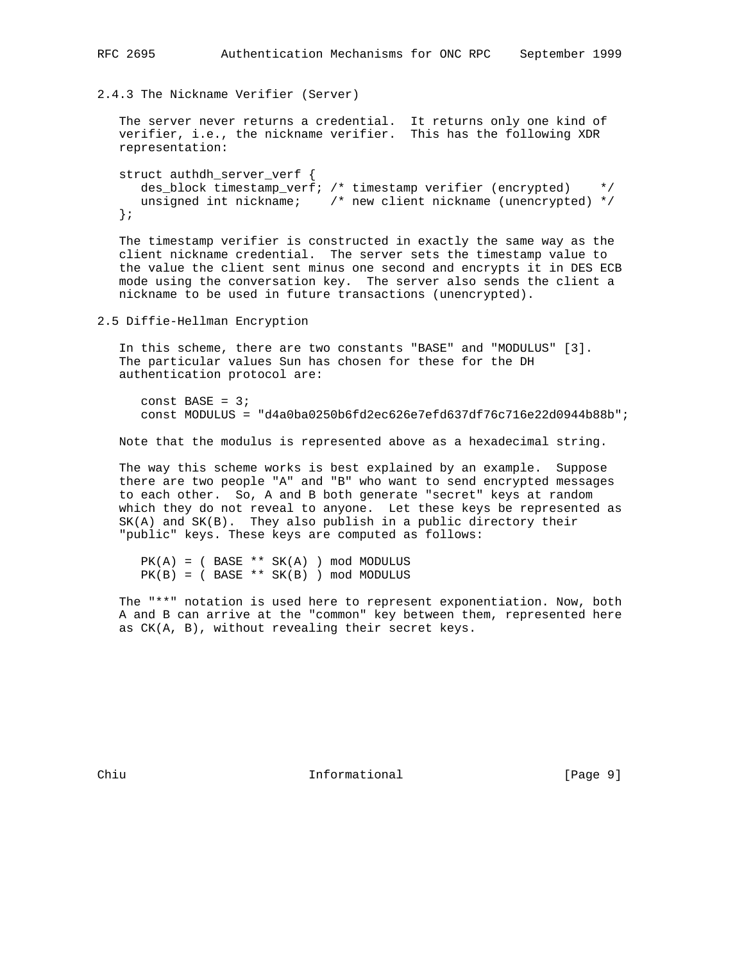2.4.3 The Nickname Verifier (Server)

```
 The server never returns a credential. It returns only one kind of
 verifier, i.e., the nickname verifier. This has the following XDR
   representation:
```

```
 struct authdh_server_verf {
   des_block timestamp_verf; /* timestamp verifier (encrypted) */
   unsigned int nickname; /* new client nickname (unencrypted) */
 };
```
 The timestamp verifier is constructed in exactly the same way as the client nickname credential. The server sets the timestamp value to the value the client sent minus one second and encrypts it in DES ECB mode using the conversation key. The server also sends the client a nickname to be used in future transactions (unencrypted).

2.5 Diffie-Hellman Encryption

 In this scheme, there are two constants "BASE" and "MODULUS" [3]. The particular values Sun has chosen for these for the DH authentication protocol are:

const BASE =  $3$ ; const MODULUS = "d4a0ba0250b6fd2ec626e7efd637df76c716e22d0944b88b";

Note that the modulus is represented above as a hexadecimal string.

 The way this scheme works is best explained by an example. Suppose there are two people "A" and "B" who want to send encrypted messages to each other. So, A and B both generate "secret" keys at random which they do not reveal to anyone. Let these keys be represented as SK(A) and SK(B). They also publish in a public directory their "public" keys. These keys are computed as follows:

 $PK(A) = (BASE ** SK(A))$  mod MODULUS  $PK(B) = (BASE ** SK(B))$  mod MODULUS

 The "\*\*" notation is used here to represent exponentiation. Now, both A and B can arrive at the "common" key between them, represented here as CK(A, B), without revealing their secret keys.

Chiu **Informational** Informational [Page 9]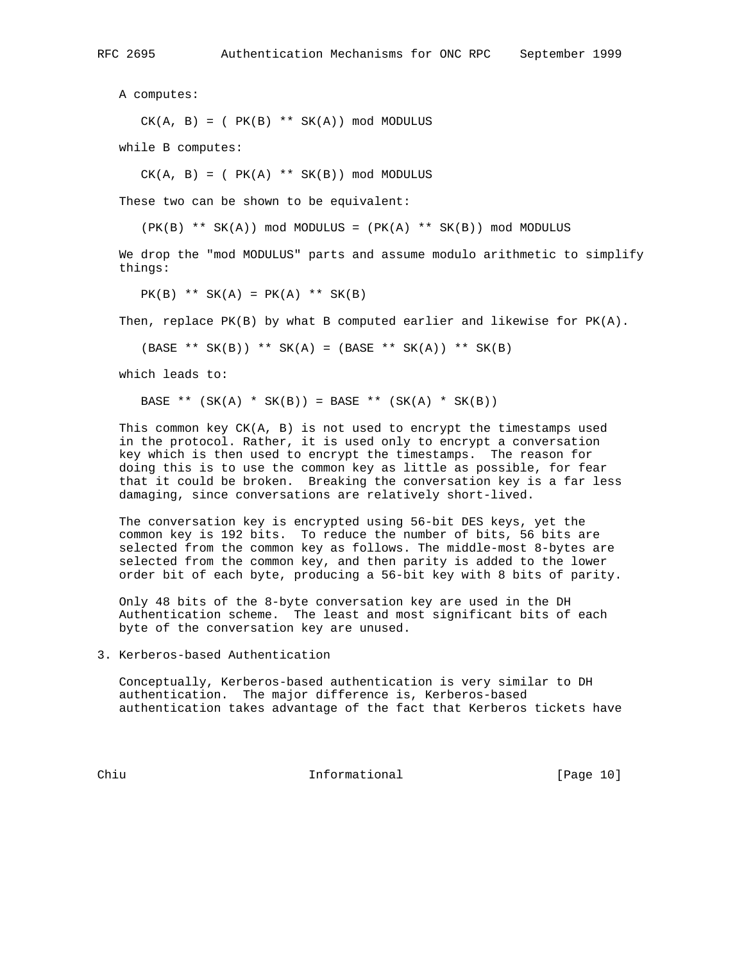A computes:

 $CK(A, B) = (PK(B) ** SK(A)) \text{ mod MODULUS}$ 

while B computes:

 $CK(A, B) = (PK(A) ** SK(B)) \text{ mod MODULUS}$ 

These two can be shown to be equivalent:

 $(PK(B)$  \*\*  $SK(A))$  mod MODULUS =  $(PK(A)$  \*\*  $SK(B))$  mod MODULUS

 We drop the "mod MODULUS" parts and assume modulo arithmetic to simplify things:

 $PK(B)$  \*\*  $SK(A) = PK(A)$  \*\*  $SK(B)$ 

Then, replace  $PK(B)$  by what B computed earlier and likewise for  $PK(A)$ .

 $(BASE ** SK(B)) ** SK(A) = (BASE ** SK(A)) ** SK(B)$ 

which leads to:

BASE \*\*  $(SK(A) * SK(B)) = BASE ** (SK(A) * SK(B))$ 

This common key  $CK(A, B)$  is not used to encrypt the timestamps used in the protocol. Rather, it is used only to encrypt a conversation key which is then used to encrypt the timestamps. The reason for doing this is to use the common key as little as possible, for fear that it could be broken. Breaking the conversation key is a far less damaging, since conversations are relatively short-lived.

 The conversation key is encrypted using 56-bit DES keys, yet the common key is 192 bits. To reduce the number of bits, 56 bits are selected from the common key as follows. The middle-most 8-bytes are selected from the common key, and then parity is added to the lower order bit of each byte, producing a 56-bit key with 8 bits of parity.

 Only 48 bits of the 8-byte conversation key are used in the DH Authentication scheme. The least and most significant bits of each byte of the conversation key are unused.

3. Kerberos-based Authentication

 Conceptually, Kerberos-based authentication is very similar to DH authentication. The major difference is, Kerberos-based authentication takes advantage of the fact that Kerberos tickets have

Chiu Informational [Page 10]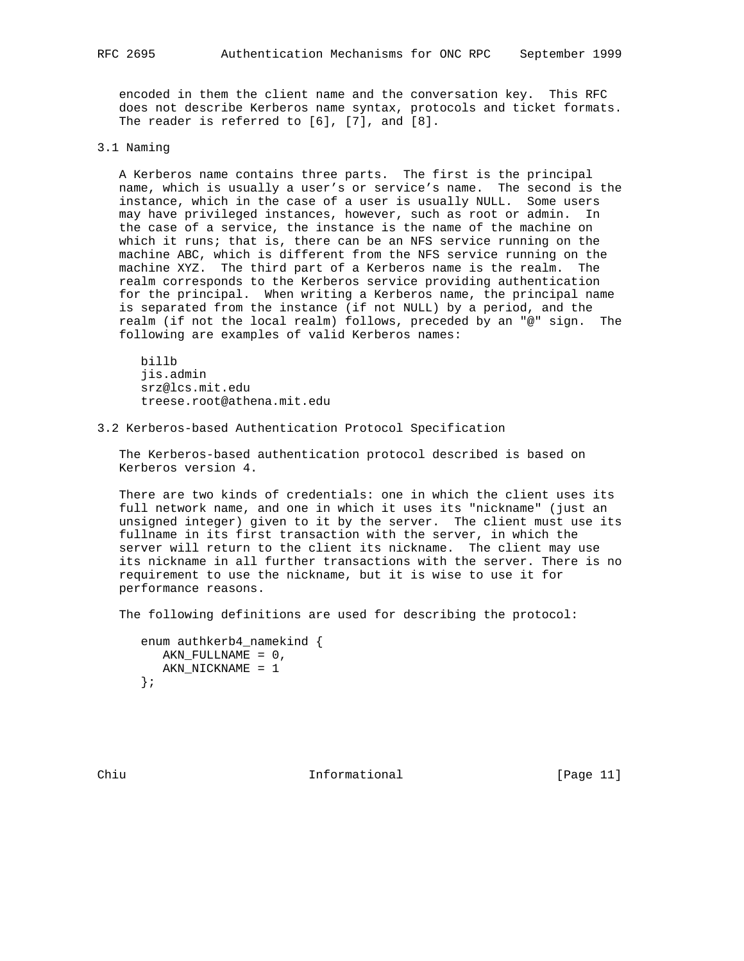encoded in them the client name and the conversation key. This RFC does not describe Kerberos name syntax, protocols and ticket formats. The reader is referred to [6], [7], and [8].

### 3.1 Naming

 A Kerberos name contains three parts. The first is the principal name, which is usually a user's or service's name. The second is the instance, which in the case of a user is usually NULL. Some users may have privileged instances, however, such as root or admin. In the case of a service, the instance is the name of the machine on which it runs; that is, there can be an NFS service running on the machine ABC, which is different from the NFS service running on the machine XYZ. The third part of a Kerberos name is the realm. The realm corresponds to the Kerberos service providing authentication for the principal. When writing a Kerberos name, the principal name is separated from the instance (if not NULL) by a period, and the realm (if not the local realm) follows, preceded by an "@" sign. The following are examples of valid Kerberos names:

 billb jis.admin srz@lcs.mit.edu treese.root@athena.mit.edu

3.2 Kerberos-based Authentication Protocol Specification

 The Kerberos-based authentication protocol described is based on Kerberos version 4.

 There are two kinds of credentials: one in which the client uses its full network name, and one in which it uses its "nickname" (just an unsigned integer) given to it by the server. The client must use its fullname in its first transaction with the server, in which the server will return to the client its nickname. The client may use its nickname in all further transactions with the server. There is no requirement to use the nickname, but it is wise to use it for performance reasons.

The following definitions are used for describing the protocol:

```
 enum authkerb4_namekind {
   AKN_FULLNAME = 0,
   AKN_NICKNAME = 1
 };
```
Chiu **Informational** [Page 11]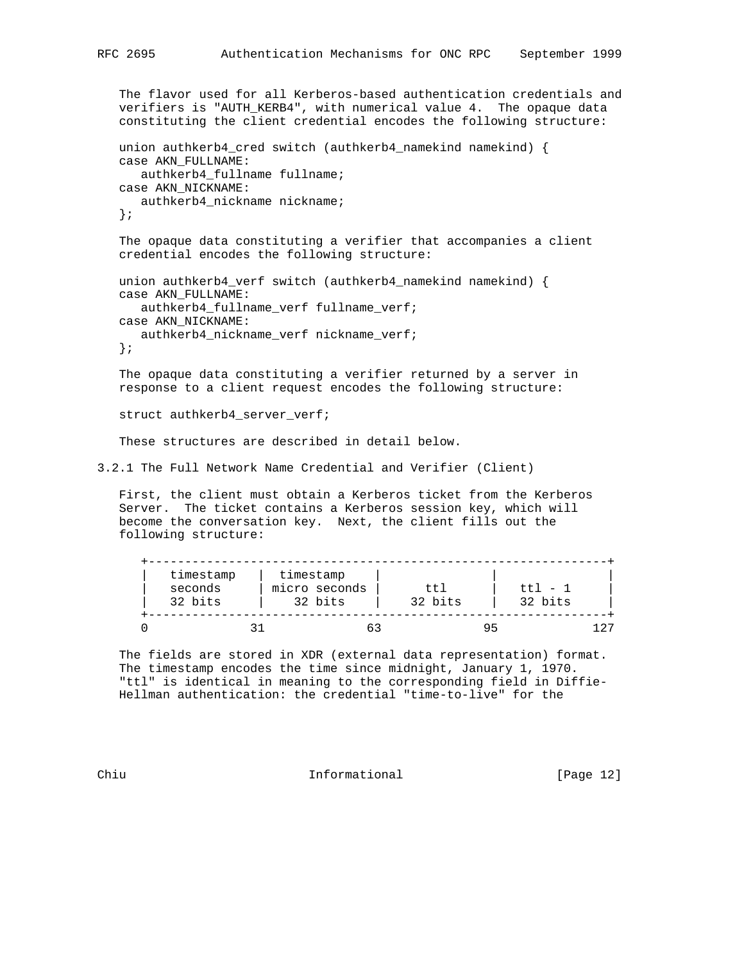```
 The flavor used for all Kerberos-based authentication credentials and
    verifiers is "AUTH_KERB4", with numerical value 4. The opaque data
    constituting the client credential encodes the following structure:
   union authkerb4_cred switch (authkerb4_namekind namekind) {
   case AKN_FULLNAME:
       authkerb4_fullname fullname;
   case AKN_NICKNAME:
      authkerb4_nickname nickname;
    };
   The opaque data constituting a verifier that accompanies a client
   credential encodes the following structure:
   union authkerb4_verf switch (authkerb4_namekind namekind) {
   case AKN_FULLNAME:
      authkerb4_fullname_verf fullname_verf;
   case AKN_NICKNAME:
      authkerb4_nickname_verf nickname_verf;
    };
   The opaque data constituting a verifier returned by a server in
   response to a client request encodes the following structure:
  struct authkerb4 server verf;
    These structures are described in detail below.
3.2.1 The Full Network Name Credential and Verifier (Client)
```
 First, the client must obtain a Kerberos ticket from the Kerberos Server. The ticket contains a Kerberos session key, which will become the conversation key. Next, the client fills out the following structure:

| timestamp<br>seconds<br>32 bits | timestamp<br>micro seconds<br>32 bits | ttl<br>32 bits | $t_{\rm}$ t <sub>1</sub> $-1$<br>32 bits |
|---------------------------------|---------------------------------------|----------------|------------------------------------------|
|                                 |                                       | 95             |                                          |

 The fields are stored in XDR (external data representation) format. The timestamp encodes the time since midnight, January 1, 1970. "ttl" is identical in meaning to the corresponding field in Diffie- Hellman authentication: the credential "time-to-live" for the

Chiu Informational [Page 12]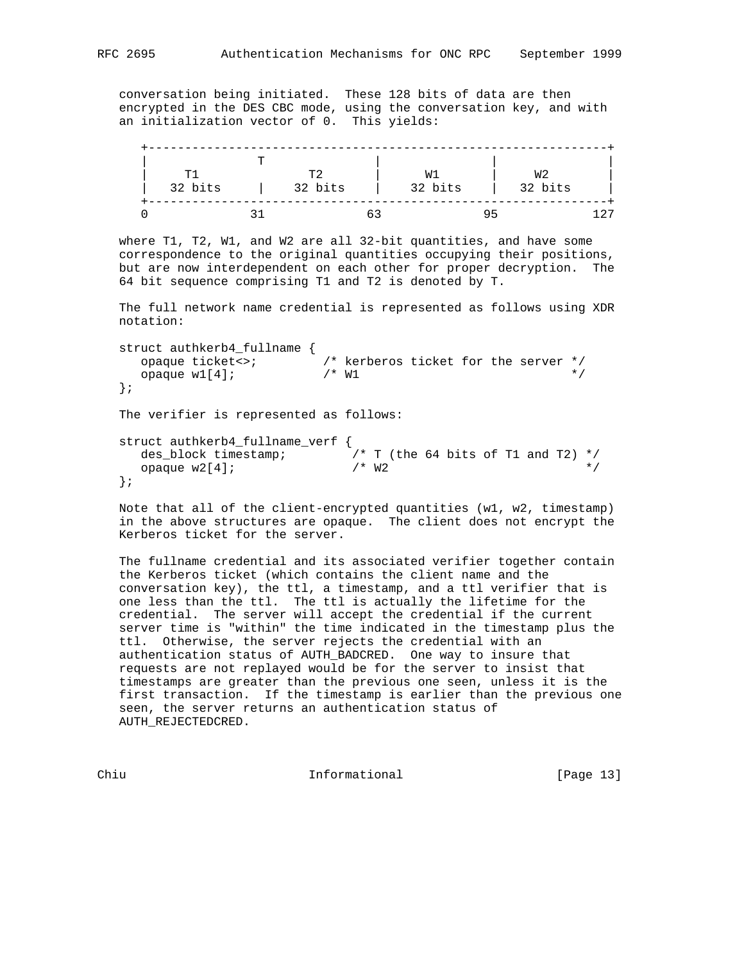conversation being initiated. These 128 bits of data are then encrypted in the DES CBC mode, using the conversation key, and with an initialization vector of 0. This yields:

| <b>T</b> 1<br>32 bits | ጥገ<br>32 bits | W 1<br>32 bits | W2<br>32 bits |  |
|-----------------------|---------------|----------------|---------------|--|
|                       |               |                |               |  |

 where T1, T2, W1, and W2 are all 32-bit quantities, and have some correspondence to the original quantities occupying their positions, but are now interdependent on each other for proper decryption. The 64 bit sequence comprising T1 and T2 is denoted by T.

 The full network name credential is represented as follows using XDR notation:

 struct authkerb4\_fullname { opaque ticket<>; /\* kerberos ticket for the server \*/ opaque w1[4];  $\angle$  /\* W1  $\angle$  /\* W1  $\angle$  }; The verifier is represented as follows: struct authkerb4\_fullname\_verf {  $\frac{1}{2}$  /\* T (the 64 bits of T1 and T2) \*/<br>/\* W2 opaque  $w2[4]$ ;  $/$ \*  $W2$  \*/ };

 Note that all of the client-encrypted quantities (w1, w2, timestamp) in the above structures are opaque. The client does not encrypt the Kerberos ticket for the server.

 The fullname credential and its associated verifier together contain the Kerberos ticket (which contains the client name and the conversation key), the ttl, a timestamp, and a ttl verifier that is one less than the ttl. The ttl is actually the lifetime for the credential. The server will accept the credential if the current server time is "within" the time indicated in the timestamp plus the ttl. Otherwise, the server rejects the credential with an authentication status of AUTH\_BADCRED. One way to insure that requests are not replayed would be for the server to insist that timestamps are greater than the previous one seen, unless it is the first transaction. If the timestamp is earlier than the previous one seen, the server returns an authentication status of AUTH\_REJECTEDCRED.

Chiu **Informational** [Page 13]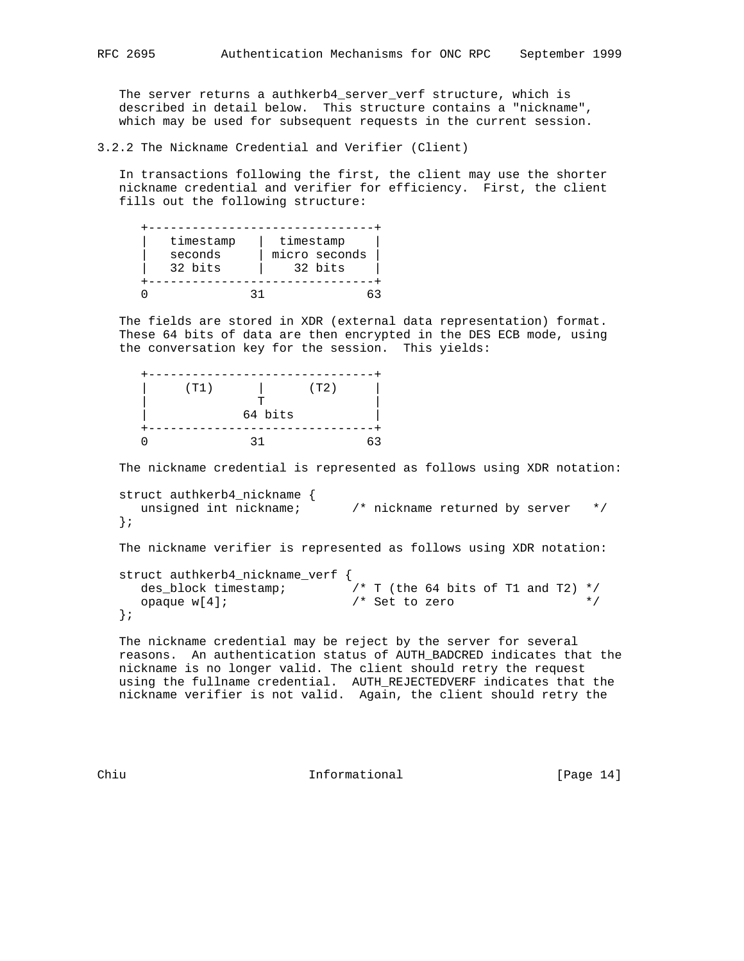The server returns a authkerb4\_server\_verf structure, which is described in detail below. This structure contains a "nickname", which may be used for subsequent requests in the current session.

3.2.2 The Nickname Credential and Verifier (Client)

 In transactions following the first, the client may use the shorter nickname credential and verifier for efficiency. First, the client fills out the following structure:

| timestamp | timestamp     |
|-----------|---------------|
| seconds   | micro seconds |
| 32 bits   | 32 bits       |
|           |               |
|           |               |

 The fields are stored in XDR (external data representation) format. These 64 bits of data are then encrypted in the DES ECB mode, using the conversation key for the session. This yields:

| (T1) |         | (T2) |    |
|------|---------|------|----|
|      | ᠇᠇      |      |    |
|      | 64 bits |      |    |
|      |         |      |    |
|      |         |      | 63 |

The nickname credential is represented as follows using XDR notation:

```
 struct authkerb4_nickname {
  unsigned int nickname; /* nickname returned by server */
 };
```
The nickname verifier is represented as follows using XDR notation:

```
 struct authkerb4_nickname_verf {
 des_block timestamp; /* T (the 64 bits of T1 and T2) */
 opaque w[4]; /* Set to zero */
   };
```
 The nickname credential may be reject by the server for several reasons. An authentication status of AUTH\_BADCRED indicates that the nickname is no longer valid. The client should retry the request using the fullname credential. AUTH\_REJECTEDVERF indicates that the nickname verifier is not valid. Again, the client should retry the

Chiu Informational [Page 14]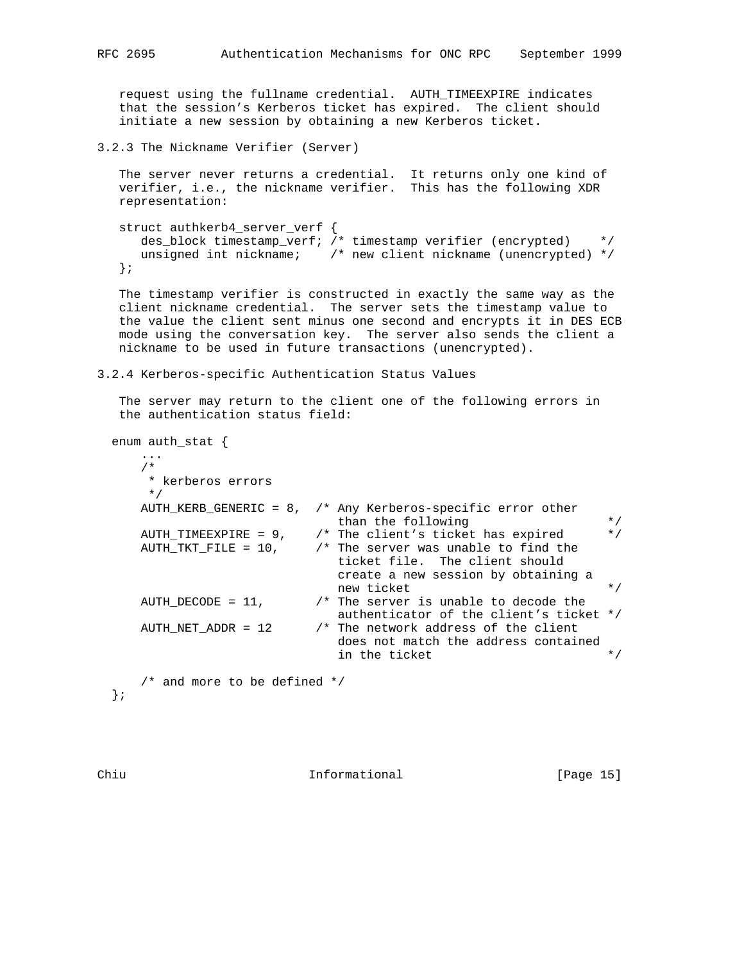request using the fullname credential. AUTH\_TIMEEXPIRE indicates that the session's Kerberos ticket has expired. The client should initiate a new session by obtaining a new Kerberos ticket.

3.2.3 The Nickname Verifier (Server)

 The server never returns a credential. It returns only one kind of verifier, i.e., the nickname verifier. This has the following XDR representation:

```
 struct authkerb4_server_verf {
  des_block timestamp_verf; /* timestamp verifier (encrypted) * /
  unsigned int nickname; /* new client nickname (unencrypted) */
 };
```
 The timestamp verifier is constructed in exactly the same way as the client nickname credential. The server sets the timestamp value to the value the client sent minus one second and encrypts it in DES ECB mode using the conversation key. The server also sends the client a nickname to be used in future transactions (unencrypted).

3.2.4 Kerberos-specific Authentication Status Values

 The server may return to the client one of the following errors in the authentication status field:

enum auth\_stat {

| * kerberos errors<br>$\star$ / |                                                                                                       |
|--------------------------------|-------------------------------------------------------------------------------------------------------|
|                                | AUTH KERB GENERIC = $8$ , $\prime$ * Any Kerberos-specific error other<br>than the following          |
|                                | AUTH_TIMEEXPIRE = $9$ , $\prime$ * The client's ticket has expired                                    |
|                                | AUTH TKT FILE = $10$ , $\prime$ * The server was unable to find the<br>ticket file. The client should |
|                                | create a new session by obtaining a<br>new ticket                                                     |
| AUTH DECODE = $11$ ,           | $\prime$ * The server is unable to decode the<br>authenticator of the client's ticket */              |
| AUTH NET ADDR = 12             | /* The network address of the client<br>does not match the address contained<br>in the ticket         |

};

Chiu **Informational** [Page 15]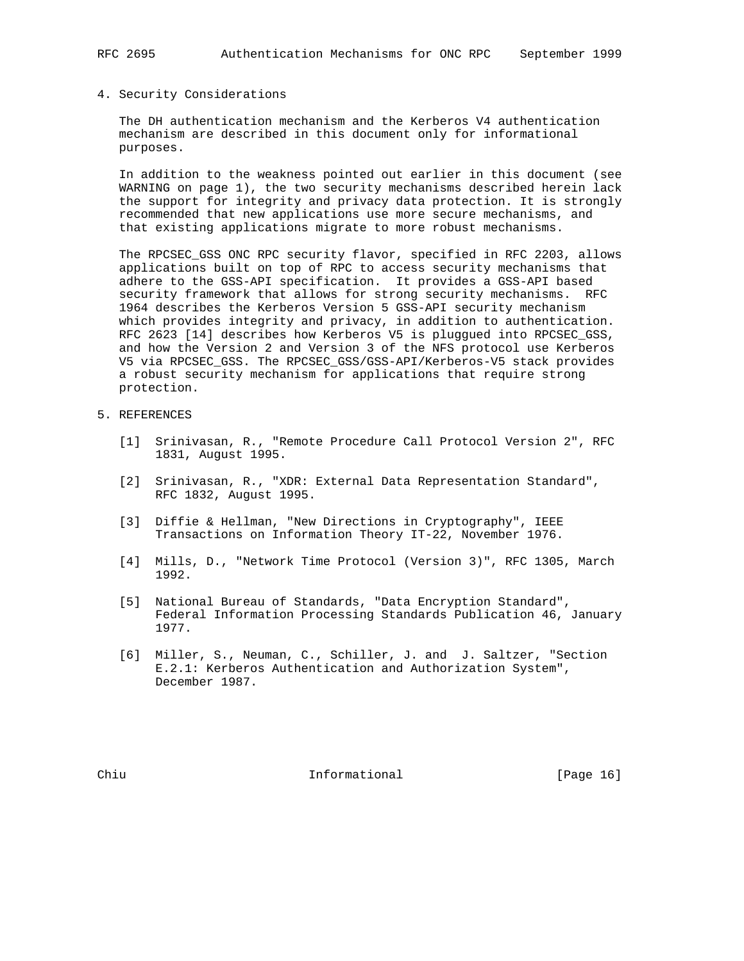#### 4. Security Considerations

 The DH authentication mechanism and the Kerberos V4 authentication mechanism are described in this document only for informational purposes.

 In addition to the weakness pointed out earlier in this document (see WARNING on page 1), the two security mechanisms described herein lack the support for integrity and privacy data protection. It is strongly recommended that new applications use more secure mechanisms, and that existing applications migrate to more robust mechanisms.

 The RPCSEC\_GSS ONC RPC security flavor, specified in RFC 2203, allows applications built on top of RPC to access security mechanisms that adhere to the GSS-API specification. It provides a GSS-API based security framework that allows for strong security mechanisms. RFC 1964 describes the Kerberos Version 5 GSS-API security mechanism which provides integrity and privacy, in addition to authentication. RFC 2623 [14] describes how Kerberos V5 is pluggued into RPCSEC\_GSS, and how the Version 2 and Version 3 of the NFS protocol use Kerberos V5 via RPCSEC\_GSS. The RPCSEC\_GSS/GSS-API/Kerberos-V5 stack provides a robust security mechanism for applications that require strong protection.

## 5. REFERENCES

- [1] Srinivasan, R., "Remote Procedure Call Protocol Version 2", RFC 1831, August 1995.
- [2] Srinivasan, R., "XDR: External Data Representation Standard", RFC 1832, August 1995.
- [3] Diffie & Hellman, "New Directions in Cryptography", IEEE Transactions on Information Theory IT-22, November 1976.
- [4] Mills, D., "Network Time Protocol (Version 3)", RFC 1305, March 1992.
- [5] National Bureau of Standards, "Data Encryption Standard", Federal Information Processing Standards Publication 46, January 1977.
- [6] Miller, S., Neuman, C., Schiller, J. and J. Saltzer, "Section E.2.1: Kerberos Authentication and Authorization System", December 1987.

Chiu **Informational** [Page 16]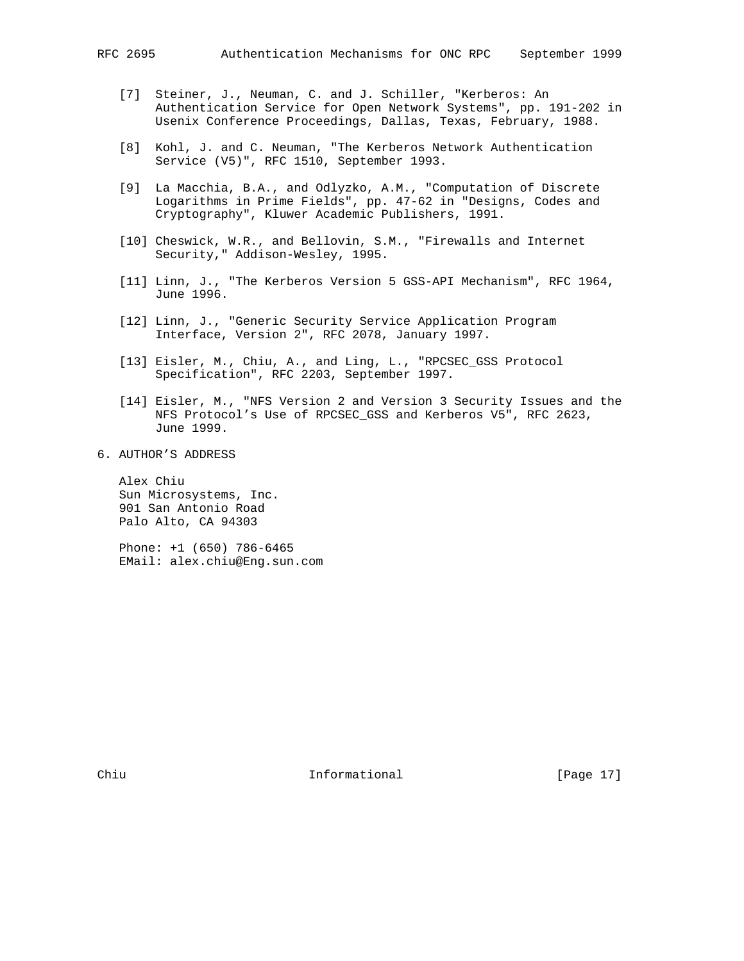- [7] Steiner, J., Neuman, C. and J. Schiller, "Kerberos: An Authentication Service for Open Network Systems", pp. 191-202 in Usenix Conference Proceedings, Dallas, Texas, February, 1988.
- [8] Kohl, J. and C. Neuman, "The Kerberos Network Authentication Service (V5)", RFC 1510, September 1993.
- [9] La Macchia, B.A., and Odlyzko, A.M., "Computation of Discrete Logarithms in Prime Fields", pp. 47-62 in "Designs, Codes and Cryptography", Kluwer Academic Publishers, 1991.
- [10] Cheswick, W.R., and Bellovin, S.M., "Firewalls and Internet Security," Addison-Wesley, 1995.
- [11] Linn, J., "The Kerberos Version 5 GSS-API Mechanism", RFC 1964, June 1996.
- [12] Linn, J., "Generic Security Service Application Program Interface, Version 2", RFC 2078, January 1997.
- [13] Eisler, M., Chiu, A., and Ling, L., "RPCSEC\_GSS Protocol Specification", RFC 2203, September 1997.
- [14] Eisler, M., "NFS Version 2 and Version 3 Security Issues and the NFS Protocol's Use of RPCSEC\_GSS and Kerberos V5", RFC 2623, June 1999.
- 6. AUTHOR'S ADDRESS

 Alex Chiu Sun Microsystems, Inc. 901 San Antonio Road Palo Alto, CA 94303

 Phone: +1 (650) 786-6465 EMail: alex.chiu@Eng.sun.com

Chiu **Informational** [Page 17]